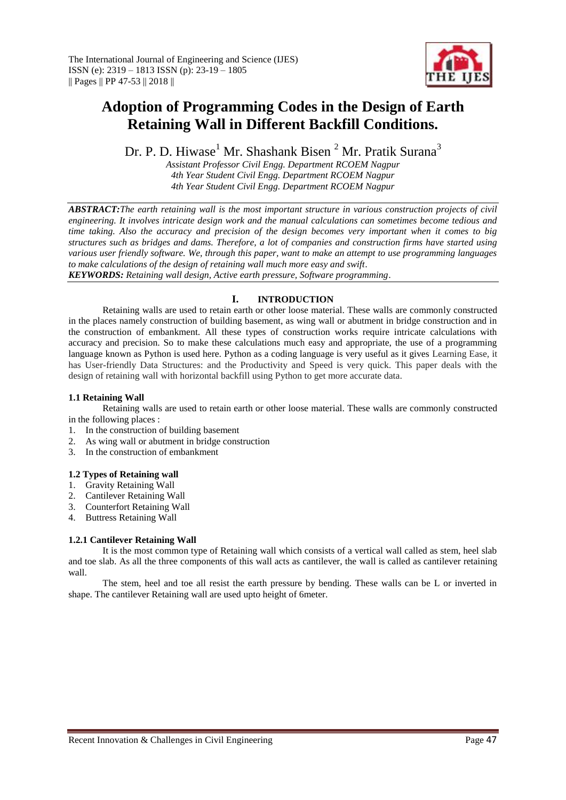

# **Adoption of Programming Codes in the Design of Earth Retaining Wall in Different Backfill Conditions.**

Dr. P. D. Hiwase<sup>1</sup> Mr. Shashank Bisen <sup>2</sup> Mr. Pratik Surana<sup>3</sup>

*Assistant Professor Civil Engg. Department RCOEM Nagpur 4th Year Student Civil Engg. Department RCOEM Nagpur 4th Year Student Civil Engg. Department RCOEM Nagpur*

*ABSTRACT:The earth retaining wall is the most important structure in various construction projects of civil engineering. It involves intricate design work and the manual calculations can sometimes become tedious and time taking. Also the accuracy and precision of the design becomes very important when it comes to big structures such as bridges and dams. Therefore, a lot of companies and construction firms have started using various user friendly software. We, through this paper, want to make an attempt to use programming languages to make calculations of the design of retaining wall much more easy and swift*.

*KEYWORDS: Retaining wall design, Active earth pressure, Software programming*.

# **I. INTRODUCTION**

Retaining walls are used to retain earth or other loose material. These walls are commonly constructed in the places namely construction of building basement, as wing wall or abutment in bridge construction and in the construction of embankment. All these types of construction works require intricate calculations with accuracy and precision. So to make these calculations much easy and appropriate, the use of a programming language known as Python is used here. Python as a coding language is very useful as it gives Learning Ease, it has User-friendly Data Structures: and the Productivity and Speed is very quick. This paper deals with the design of retaining wall with horizontal backfill using Python to get more accurate data.

## **1.1 Retaining Wall**

Retaining walls are used to retain earth or other loose material. These walls are commonly constructed in the following places :

- 1. In the construction of building basement
- 2. As wing wall or abutment in bridge construction
- 3. In the construction of embankment

## **1.2 Types of Retaining wall**

- 1. Gravity Retaining Wall
- 2. Cantilever Retaining Wall
- 3. Counterfort Retaining Wall
- 4. Buttress Retaining Wall

# **1.2.1 Cantilever Retaining Wall**

It is the most common type of Retaining wall which consists of a vertical wall called as stem, heel slab and toe slab. As all the three components of this wall acts as cantilever, the wall is called as cantilever retaining wall.

The stem, heel and toe all resist the earth pressure by bending. These walls can be L or inverted in shape. The cantilever Retaining wall are used upto height of 6meter.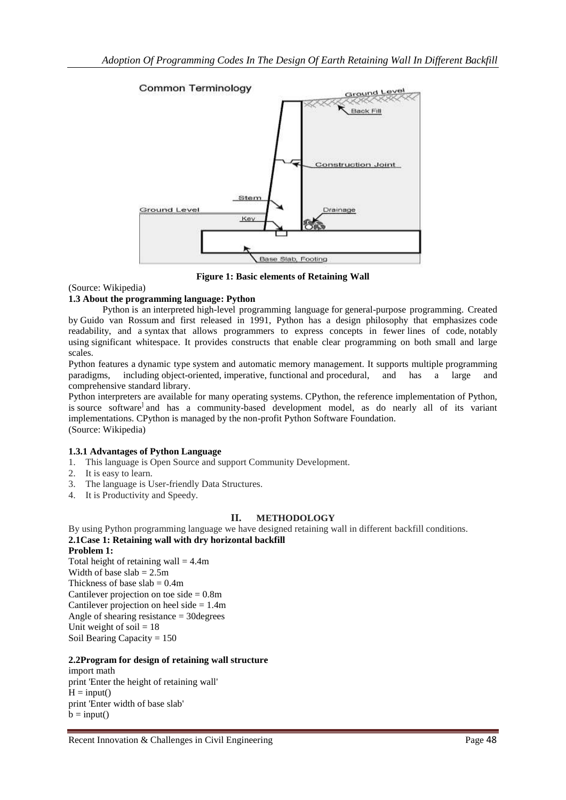

**Figure 1: Basic elements of Retaining Wall**

(Source: Wikipedia)

# **1.3 About the programming language: Python**

Python is an [interpreted](https://en.wikipedia.org/wiki/Interpreted_language) [high-level programming language](https://en.wikipedia.org/wiki/High-level_programming_language) for [general-purpose programming.](https://en.wikipedia.org/wiki/General-purpose_programming_language) Created by [Guido van Rossum](https://en.wikipedia.org/wiki/Guido_van_Rossum) and first released in 1991, Python has a design philosophy that emphasizes [code](https://en.wikipedia.org/wiki/Code_readability)  [readability,](https://en.wikipedia.org/wiki/Code_readability) and a [syntax](https://en.wikipedia.org/wiki/Syntax_(programming_languages)) that allows programmers to express concepts in fewer [lines of code,](https://en.wikipedia.org/wiki/Source_lines_of_code) notably using [significant whitespace.](https://en.wikipedia.org/wiki/Significant_whitespace) It provides constructs that enable clear programming on both small and large scales.

Python features a [dynamic type](https://en.wikipedia.org/wiki/Dynamic_type) system and automatic [memory management.](https://en.wikipedia.org/wiki/Memory_management) It supports multiple [programming](https://en.wikipedia.org/wiki/Programming_paradigm)  [paradigms,](https://en.wikipedia.org/wiki/Programming_paradigm) including [object-oriented,](https://en.wikipedia.org/wiki/Object-oriented_programming) [imperative,](https://en.wikipedia.org/wiki/Imperative_programming) [functional](https://en.wikipedia.org/wiki/Functional_programming) and [procedural,](https://en.wikipedia.org/wiki/Procedural_programming) and has a large and comprehensive [standard library.](https://en.wikipedia.org/wiki/Standard_library)

Python interpreters are available for many [operating systems.](https://en.wikipedia.org/wiki/Operating_system) [CPython,](https://en.wikipedia.org/wiki/CPython) the [reference implementation](https://en.wikipedia.org/wiki/Reference_implementation) of Python, is sourc[e](https://en.wikipedia.org/wiki/Python_(programming_language)#cite_note-29) software<sup>l</sup> and has a community-based development model, as do nearly all of its variant implementations. CPython is managed by the non-profit [Python Software Foundation.](https://en.wikipedia.org/wiki/Python_Software_Foundation) (Source: Wikipedia)

# **1.3.1 Advantages of Python Language**

- 1. This language is Open Source and support Community Development.
- 2. It is easy to learn.
- 3. The language is User-friendly Data Structures.
- 4. It is Productivity and Speedy.

# **II. METHODOLOGY**

By using Python programming language we have designed retaining wall in different backfill conditions. **2.1Case 1: Retaining wall with dry horizontal backfill**

**Problem 1:** Total height of retaining wall  $= 4.4$ m Width of base  $slab = 2.5m$ Thickness of base slab  $= 0.4$ m Cantilever projection on toe side  $= 0.8$ m Cantilever projection on heel side  $= 1.4$ m Angle of shearing resistance = 30degrees Unit weight of soil  $= 18$ Soil Bearing Capacity = 150

# **2.2Program for design of retaining wall structure**

import math print 'Enter the height of retaining wall'  $H = input()$ print 'Enter width of base slab'  $b = input()$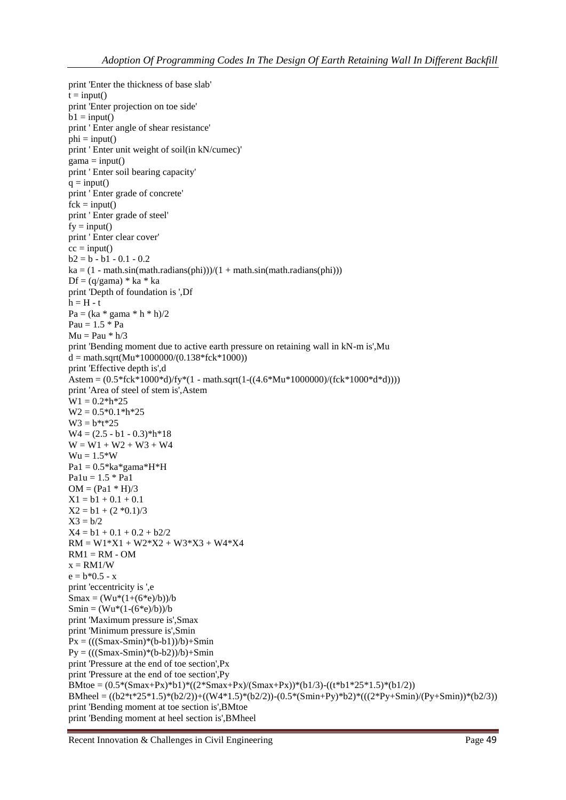```
print 'Enter the thickness of base slab'
t = input()print 'Enter projection on toe side'
b1 = input()print ' Enter angle of shear resistance'
phi = input()print ' Enter unit weight of soil(in kN/cumec)'
gamma = input()print ' Enter soil bearing capacity'
q = input()print ' Enter grade of concrete'
fck = input()print ' Enter grade of steel'
fv = input()
print ' Enter clear cover'
cc = input()b2 = b - b1 - 0.1 - 0.2ka = (1 - math sin(math.random(phi)))/(1 + math sin(math.random(phi)))Df = (q/gama) * ka * kaprint 'Depth of foundation is ',Df
h = H - tPa = (ka * gama * h * h)/2Pau = 1.5 * PaMu = Pau * h/3print 'Bending moment due to active earth pressure on retaining wall in kN-m is',Mu
d = \text{math.sqrt}(Mu*1000000/(0.138*fck*1000))print 'Effective depth is',d
Astem = (0.5*fck*1000*d)/fy*(1 - math.sqrt(1-((4.6*Mu*1000000)/(fck*1000*d*d))))
print 'Area of steel of stem is',Astem
W1 = 0.2 * h * 25W2 = 0.5*0.1*h*25W3 = b*t*25W4 = (2.5 - b1 - 0.3)*h*18W = W1 + W2 + W3 + W4Wu = 1.5*WPa1 = 0.5*ka*gamma*H*HPa1u = 1.5 * Pa1
OM = (Pa1 * H)/3X1 = b1 + 0.1 + 0.1X2 = b1 + (2 * 0.1)/3X3 = b/2X4 = b1 + 0.1 + 0.2 + b2/2RM = W1*X1 + W2*X2 + W3*X3 + W4*X4RM1 = RM - OMx = RM1/We = b*0.5 - xprint 'eccentricity is ',e
Smax = (Wu*(1+(6*e)/b))/bSmin = (Wu*(1-(6*e)/b))/bprint 'Maximum pressure is',Smax
print 'Minimum pressure is',Smin
Px = (((Smax-Smin)*(b-b1))/b) + SminPy = (((Smax-Smin)*(b-b2))/b) + Sminprint 'Pressure at the end of toe section',Px
print 'Pressure at the end of toe section',Py
BMtoe = (0.5*(Smax+Px)*b1)*(2*Smax+Px)/(Smax+Px)*(b1/3)-((t*b1*25*1.5)*(b1/2))BMheel = ((b2*t*25*1.5)*(b2/2))+((W4*1.5)*(b2/2))-(0.5*(Smin+Py)*b2)*(((2*Py+Smin)/(Py+Smin))*(b2/3))
print 'Bending moment at toe section is',BMtoe
print 'Bending moment at heel section is',BMheel
```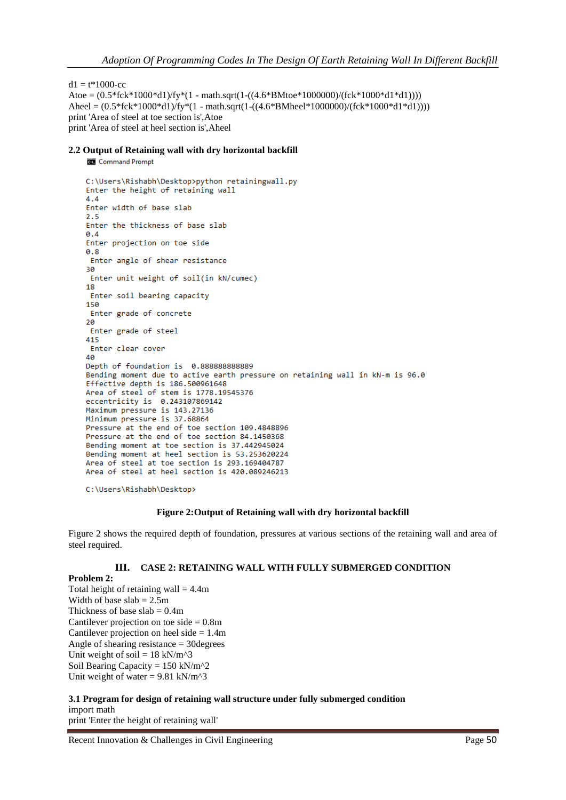$d1 = t*1000$ -cc

Atoe =  $(0.5 * fck * 1000 * d1)/f y * (1 - math.sqrt(1-((4.6 * BMtoe * 100000))/fck * 1000 * d1 * d1))))$ Aheel =  $(0.5*$ fck $*1000*$ d1 $)/$ fy $*(1 - \text{math.sqrt}(1 - ((4.6* \text{BMheel} * 1000000)/(fck * 1000* d1 * d1))))$ print 'Area of steel at toe section is',Atoe print 'Area of steel at heel section is',Aheel

## **2.2 Output of Retaining wall with dry horizontal backfill**

**Command Prompt** 

```
C:\Users\Rishabh\Desktop>python retainingwall.py
Enter the height of retaining wall
4.4Enter width of base slab
2.5Enter the thickness of base slab
0.4Enter projection on toe side
0.8Enter angle of shear resistance
30
Enter unit weight of soil(in kN/cumec)
18
Enter soil bearing capacity
150
Enter grade of concrete
20
Enter grade of steel
415
Enter clear cover
40
Depth of foundation is 0.888888888889
Bending moment due to active earth pressure on retaining wall in kN-m is 96.0
Effective depth is 186.500961648
Area of steel of stem is 1778.19545376
eccentricity is 0.243107869142
Maximum pressure is 143.27136
Minimum pressure is 37.68864
Pressure at the end of toe section 109.4848896
Pressure at the end of toe section 84.1450368
Bending moment at toe section is 37.442945024
Bending moment at heel section is 53.253620224
Area of steel at toe section is 293.169404787
Area of steel at heel section is 420.089246213
```
C:\Users\Rishabh\Desktop>

### **Figure 2:Output of Retaining wall with dry horizontal backfill**

Figure 2 shows the required depth of foundation, pressures at various sections of the retaining wall and area of steel required.

## **III. CASE 2: RETAINING WALL WITH FULLY SUBMERGED CONDITION**

## **Problem 2:**

Total height of retaining wall  $= 4.4$ m Width of base  $slab = 2.5m$ Thickness of base slab  $= 0.4$ m Cantilever projection on toe side  $= 0.8$ m Cantilever projection on heel side = 1.4m Angle of shearing resistance = 30degrees Unit weight of soil =  $18$  kN/m^3 Soil Bearing Capacity =  $150 \text{ kN/m}^2$ Unit weight of water =  $9.81$  kN/m<sup> $\text{A}$ </sup>3

## **3.1 Program for design of retaining wall structure under fully submerged condition** import math print 'Enter the height of retaining wall'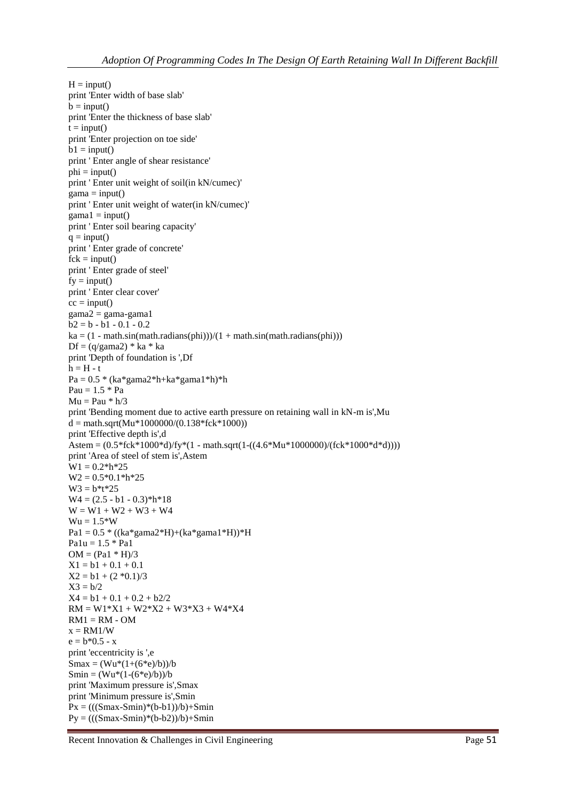```
H = input()print 'Enter width of base slab'
b = input()print 'Enter the thickness of base slab'
t = input()print 'Enter projection on toe side'
b1 = input()print ' Enter angle of shear resistance'
phi = input()print ' Enter unit weight of soil(in kN/cumec)'
gamma = input()print ' Enter unit weight of water(in kN/cumec)'
gamma1 = input()print ' Enter soil bearing capacity'
q = input()print ' Enter grade of concrete'
fck = input()print ' Enter grade of steel'
fy = input()print ' Enter clear cover'
cc = input()gamma2 = gamma-gama1b2 = b - b1 - 0.1 - 0.2ka = (1 - math.\sin(math.\radians(phi)))/(1 + math.\sin(math.\radians(phi)))Df = (q/gama2) * ka * ka
print 'Depth of foundation is ',Df
h = H - tPa = 0.5 * (ka*gama2*h+ka*gama1*h)*hPau = 1.5 * PaMu = Pau * h/3print 'Bending moment due to active earth pressure on retaining wall in kN-m is',Mu
d = \text{math.sqrt}(Mu*1000000/(0.138*fck*1000))print 'Effective depth is',d
Astem = (0.5 * fck * 1000 * d)/fv * (1 - math.sqrt(1-((4.6 * Mu * 100000)/(fck * 1000 * d * d))))print 'Area of steel of stem is',Astem
W1 = 0.2 * h * 25W2 = 0.5*0.1*h*25W3 = b*t*25W4 = (2.5 - b1 - 0.3)*h*18W = W1 + W2 + W3 + W4Wu = 1.5*WPa1 = 0.5 * ((ka*gama2*H)+(ka*gama1*H))*HPalu = 1.5 * PalOM = (Pa1 * H)/3X1 = b1 + 0.1 + 0.1X2 = b1 + (2 * 0.1)/3X3 = b/2X4 = b1 + 0.1 + 0.2 + b2/2RM = W1*X1 + W2*X2 + W3*X3 + W4*X4RM1 = RM - OMx = RM1/We = b*0.5 - xprint 'eccentricity is ',e
Smax = (Wu*(1+(6*e)/b))/bSmin = (Wu*(1-(6*e)/b))/bprint 'Maximum pressure is',Smax
print 'Minimum pressure is',Smin
Px = (((Smax-Smin)*(b-b1))/b) + SminPy = (((Smax-Smin)*(b-b2))/b) + Smin
```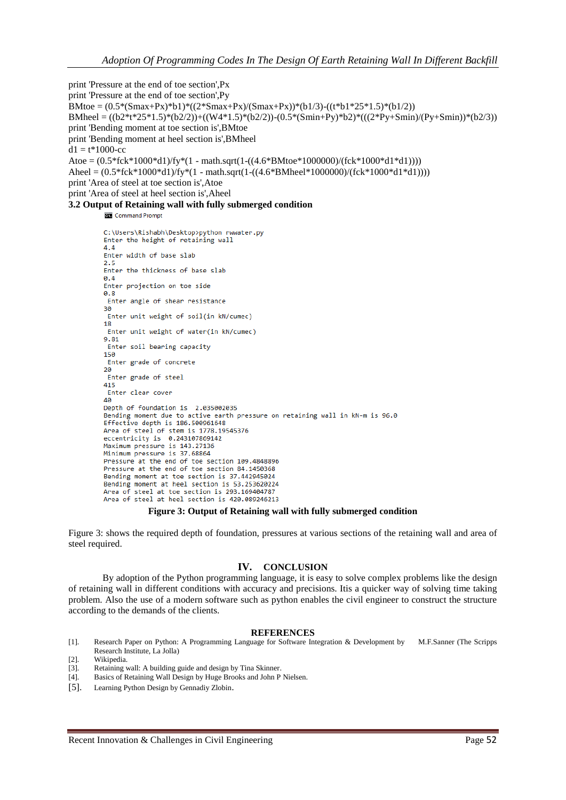print 'Pressure at the end of toe section',Px print 'Pressure at the end of toe section',Py BMtoe =  $(0.5*(Smax+Px)*(2*Smax+Px)/(Smax+Px)*(Smax+Px))$  (t\*b1/3)-((t\*b1/2)) BMheel = ((b2\*t\*25\*1.5)\*(b2/2))+((W4\*1.5)\*(b2/2))-(0.5\*(Smin+Py)\*b2)\*(((2\*Py+Smin)/(Py+Smin))\*(b2/3)) print 'Bending moment at toe section is',BMtoe print 'Bending moment at heel section is',BMheel  $d1 = t*1000$ -cc Atoe = (0.5\*fck\*1000\*d1)/fy\*(1 - math.sqrt(1-((4.6\*BMtoe\*1000000)/(fck\*1000\*d1\*d1)))) Aheel =  $(0.5*fck*1000*d1)/fyr*(1 - math.sqrt(1-((4.6*BMheel*1000000)/(fck*1000*d1*d1))))$ print 'Area of steel at toe section is',Atoe print 'Area of steel at heel section is',Aheel **3.2 Output of Retaining wall with fully submerged condition**

Command Prompt

```
C:\Users\Rishabh\Desktop>python rwwater.py
Enter the height of retaining wall
4.4Enter width of base slab
2.5Enter the thickness of hase slab
0.4Enter projection on toe side
0.8Enter angle of shear resistance
30
Enter unit weight of soil(in kN/cumec)
18
Enter unit weight of water(in kN/cumec)
9.81
Enter soil bearing capacity
150
Enter grade of concrete
20Enter grade of steel
415
Enter clear cover
40
Depth of foundation is 2.035002035
Bending moment due to active earth pressure on retaining wall in kN-m is 96.0
Effective depth is 186.500961648
Area of steel of stem is 1778.19545376
eccentricity is 0.243107869142
Maximum pressure is 143.27136
Minimum pressure is 37.68864
Pressure at the end of toe section 109.4848896
Pressure at the end of toe section 84.1450368
Bending moment at toe section is 37.442945024
Bending moment at heel section is 53.253620224
Area of steel at toe section is 293.169404787
Area of steel at heel section is 420.089246213
```
## **Figure 3: Output of Retaining wall with fully submerged condition**

Figure 3: shows the required depth of foundation, pressures at various sections of the retaining wall and area of steel required.

# **IV. CONCLUSION**

By adoption of the Python programming language, it is easy to solve complex problems like the design of retaining wall in different conditions with accuracy and precisions. Itis a quicker way of solving time taking problem. Also the use of a modern software such as python enables the civil engineer to construct the structure according to the demands of the clients.

### **REFERENCES**

- [1]. Research Paper on Python: A Programming Language for Software Integration & Development by M.F.Sanner (The Scripps Research Institute, La Jolla)
- [2]. Wikipedia.
- [3]. Retaining wall: A building guide and design by Tina Skinner.
- [4]. Basics of Retaining Wall Design by Huge Brooks and John P Nielsen.
- [5]. Learning Python Design by Gennadiy Zlobin.